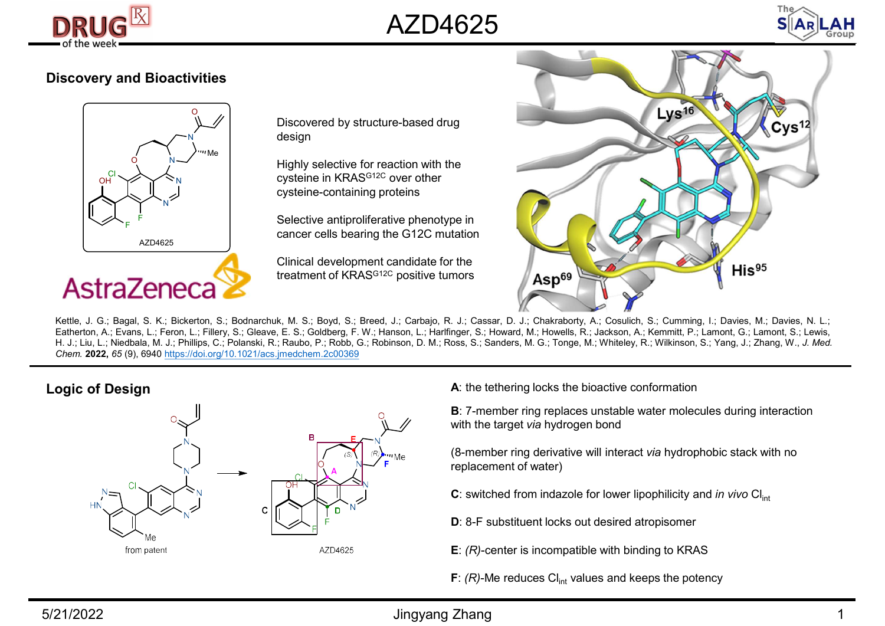





## Discovery and Bioactivities



N<sub>i</sub> design and the set of the set of the set of the set of the set of the set of the set of the set of the set of the set of the set of the set of the set of the set of the set of the set of the set of the set of the set Discovered by structure-based drug

 $\text{OH}^{\text{C}}\bigvee\text{OH}^{\text{C}}$  N and  $\text{C}$  cysteine in KRAS<sup>G12C</sup> over other  $\bigcirc$   $\bigcirc$   $\bigcirc$   $\bigcirc$  Highly selective for reaction with the cysteine-containing proteins

**F** Selective antiproliferative phenotype in **F** cancer cells bearing the G12C mutation

> Clinical development candidate for the treatment of KRAS<sup>G12C</sup> positive tumors **Asp<sup>69</sup>**



Logic of Design



A: the tethering locks the bioactive conformation

B: 7-member ring replaces unstable water molecules during interaction with the target via hydrogen bond

(8-member ring derivative will interact via hydrophobic stack with no replacement of water)

- C: switched from indazole for lower lipophilicity and in vivo  $Cl<sub>int</sub>$
- D: 8-F substituent locks out desired atropisomer
- $E: (R)$ -center is incompatible with binding to KRAS
- F:  $(R)$ -Me reduces Cl<sub>int</sub> values and keeps the potency